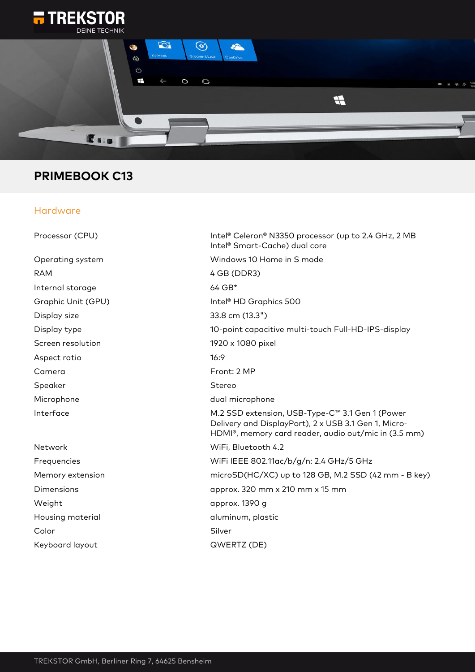



## **PRIMEBOOK C13**

## Hardware

| Processor (CPU)    | Intel® Celeron® N3350 processor (up to 2.4 GHz, 2 MB<br>Intel <sup>®</sup> Smart-Cache) dual core                                                                            |
|--------------------|------------------------------------------------------------------------------------------------------------------------------------------------------------------------------|
| Operating system   | Windows 10 Home in S mode                                                                                                                                                    |
| <b>RAM</b>         | 4 GB (DDR3)                                                                                                                                                                  |
| Internal storage   | $64$ GB*                                                                                                                                                                     |
| Graphic Unit (GPU) | Intel <sup>®</sup> HD Graphics 500                                                                                                                                           |
| Display size       | 33.8 cm (13.3")                                                                                                                                                              |
| Display type       | 10-point capacitive multi-touch Full-HD-IPS-display                                                                                                                          |
| Screen resolution  | 1920 x 1080 pixel                                                                                                                                                            |
| Aspect ratio       | 16:9                                                                                                                                                                         |
| Camera             | Front: 2 MP                                                                                                                                                                  |
| Speaker            | Stereo                                                                                                                                                                       |
| Microphone         | dual microphone                                                                                                                                                              |
| Interface          | M.2 SSD extension, USB-Type-C™ 3.1 Gen 1 (Power<br>Delivery and DisplayPort), 2 x USB 3.1 Gen 1, Micro-<br>HDMI <sup>®</sup> , memory card reader, audio out/mic in (3.5 mm) |
| Network            | WiFi, Bluetooth 4.2                                                                                                                                                          |
| Frequencies        | WiFi IEEE 802.11ac/b/g/n: 2.4 GHz/5 GHz                                                                                                                                      |
| Memory extension   | microSD(HC/XC) up to 128 GB, M.2 SSD (42 mm - B key)                                                                                                                         |
| Dimensions         | approx. 320 mm x 210 mm x 15 mm                                                                                                                                              |
| Weight             | approx. 1390 g                                                                                                                                                               |
| Housing material   | aluminum, plastic                                                                                                                                                            |
| Color              | Silver                                                                                                                                                                       |
| Keyboard layout    | QWERTZ (DE)                                                                                                                                                                  |
|                    |                                                                                                                                                                              |